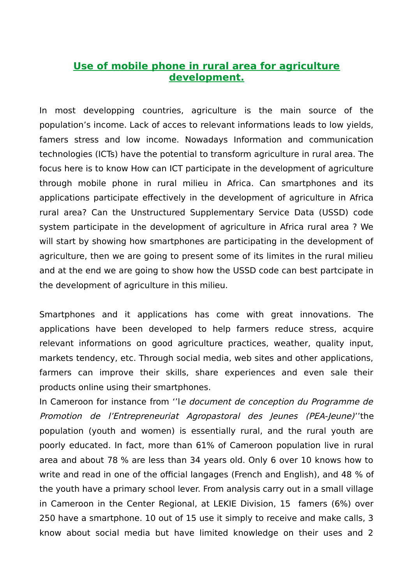## **Use of mobile phone in rural area for agriculture development.**

In most developping countries, agriculture is the main source of the population's income. Lack of acces to relevant informations leads to low yields, famers stress and low income. Nowadays Information and communication technologies (ICTs) have the potential to transform agriculture in rural area. The focus here is to know How can ICT participate in the development of agriculture through mobile phone in rural milieu in Africa. Can smartphones and its applications participate effectively in the development of agriculture in Africa rural area? Can the Unstructured Supplementary Service Data (USSD) code system participate in the development of agriculture in Africa rural area ? We will start by showing how smartphones are participating in the development of agriculture, then we are going to present some of its limites in the rural milieu and at the end we are going to show how the USSD code can best partcipate in the development of agriculture in this milieu.

Smartphones and it applications has come with great innovations. The applications have been developed to help farmers reduce stress, acquire relevant informations on good agriculture practices, weather, quality input, markets tendency, etc. Through social media, web sites and other applications, farmers can improve their skills, share experiences and even sale their products online using their smartphones.

In Cameroon for instance from ''le document de conception du Programme de Promotion de l'Entrepreneuriat Agropastoral des Jeunes (PEA-Jeune)''the population (youth and women) is essentially rural, and the rural youth are poorly educated. In fact, more than 61% of Cameroon population live in rural area and about 78 % are less than 34 years old. Only 6 over 10 knows how to write and read in one of the official langages (French and English), and 48 % of the youth have a primary school lever. From analysis carry out in a small village in Cameroon in the Center Regional, at LEKIE Division, 15 famers (6%) over 250 have a smartphone. 10 out of 15 use it simply to receive and make calls, 3 know about social media but have limited knowledge on their uses and 2